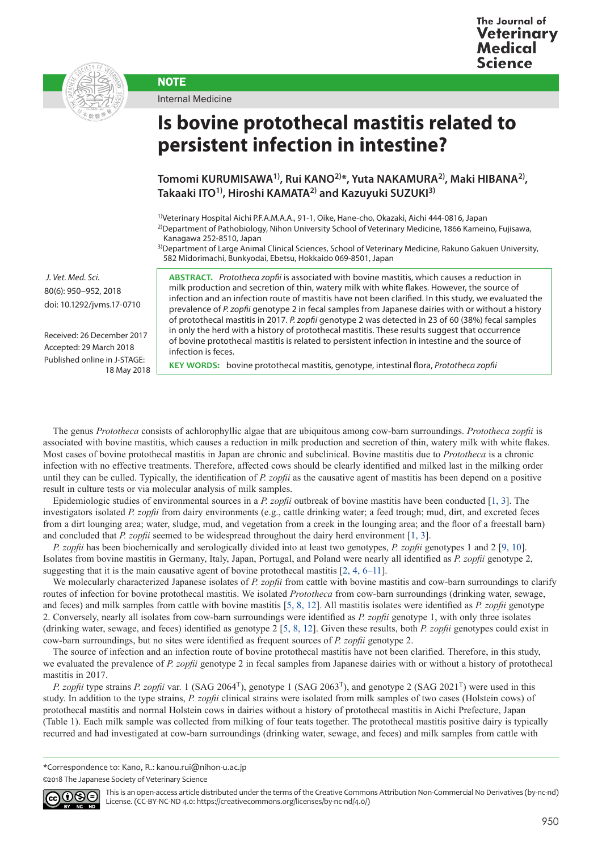



Internal Medicine

**NOTE** 

## **Is bovine protothecal mastitis related to persistent infection in intestine?**

**Tomomi KURUMISAWA1), Rui KANO2)\*, Yuta NAKAMURA2), Maki HIBANA2), Takaaki ITO1), Hiroshi KAMATA2) and Kazuyuki SUZUKI3)**

1)Veterinary Hospital Aichi P.F.A.M.A.A., 91-1, Oike, Hane-cho, Okazaki, Aichi 444-0816, Japan

2)Department of Pathobiology, Nihon University School of Veterinary Medicine, 1866 Kameino, Fujisawa, Kanagawa 252-8510, Japan

3)Department of Large Animal Clinical Sciences, School of Veterinary Medicine, Rakuno Gakuen University, 582 Midorimachi, Bunkyodai, Ebetsu, Hokkaido 069-8501, Japan

 *J. Vet. Med. Sci.*  80(6): 950–952, 2018 doi: 10.1292/jvms.17-0710

Received: 26 December 2017 Accepted: 29 March 2018 Published online in J-STAGE: 18 May 2018

**ABSTRACT.** *Prototheca zopfii* is associated with bovine mastitis, which causes a reduction in milk production and secretion of thin, watery milk with white flakes. However, the source of infection and an infection route of mastitis have not been clarified. In this study, we evaluated the prevalence of *P. zopfii* genotype 2 in fecal samples from Japanese dairies with or without a history of protothecal mastitis in 2017. *P. zopfii* genotype 2 was detected in 23 of 60 (38%) fecal samples in only the herd with a history of protothecal mastitis. These results suggest that occurrence of bovine protothecal mastitis is related to persistent infection in intestine and the source of infection is feces.

**KEY WORDS:** bovine protothecal mastitis, genotype, intestinal flora, *Prototheca zopfii*

The genus *Prototheca* consists of achlorophyllic algae that are ubiquitous among cow-barn surroundings. *Prototheca zopfii* is associated with bovine mastitis, which causes a reduction in milk production and secretion of thin, watery milk with white flakes. Most cases of bovine protothecal mastitis in Japan are chronic and subclinical. Bovine mastitis due to *Prototheca* is a chronic infection with no effective treatments. Therefore, affected cows should be clearly identified and milked last in the milking order until they can be culled. Typically, the identification of *P. zopfii* as the causative agent of mastitis has been depend on a positive result in culture tests or via molecular analysis of milk samples.

Epidemiologic studies of environmental sources in a *P. zopfii* outbreak of bovine mastitis have been conducted [[1, 3\]](#page-1-0). The investigators isolated *P. zopfii* from dairy environments (e.g., cattle drinking water; a feed trough; mud, dirt, and excreted feces from a dirt lounging area; water, sludge, mud, and vegetation from a creek in the lounging area; and the floor of a freestall barn) and concluded that *P. zopfii* seemed to be widespread throughout the dairy herd environment [\[1, 3\]](#page-1-0).

*P. zopfii* has been biochemically and serologically divided into at least two genotypes, *P. zopfii* genotypes 1 and 2 [\[9, 10\]](#page-2-0). Isolates from bovine mastitis in Germany, Italy, Japan, Portugal, and Poland were nearly all identified as *P. zopfii* genotype 2, suggesting that it is the main causative agent of bovine protothecal mastitis [\[2, 4, 6–11\]](#page-1-1).

We molecularly characterized Japanese isolates of *P. zopfii* from cattle with bovine mastitis and cow-barn surroundings to clarify routes of infection for bovine protothecal mastitis. We isolated *Prototheca* from cow-barn surroundings (drinking water, sewage, and feces) and milk samples from cattle with bovine mastitis [[5, 8, 12](#page-1-2)]. All mastitis isolates were identified as *P. zopfii* genotype 2. Conversely, nearly all isolates from cow-barn surroundings were identified as *P. zopfii* genotype 1, with only three isolates (drinking water, sewage, and feces) identified as genotype 2 [[5, 8, 12](#page-1-2)]. Given these results, both *P. zopfii* genotypes could exist in cow-barn surroundings, but no sites were identified as frequent sources of *P. zopfii* genotype 2.

The source of infection and an infection route of bovine protothecal mastitis have not been clarified. Therefore, in this study, we evaluated the prevalence of *P. zopfii* genotype 2 in fecal samples from Japanese dairies with or without a history of protothecal mastitis in 2017.

*P. zopfii* type strains *P. zopfii* var. 1 (SAG 2064<sup>T</sup>), genotype 1 (SAG 2063<sup>T</sup>), and genotype 2 (SAG 2021<sup>T</sup>) were used in this study. In addition to the type strains, *P. zopfii* clinical strains were isolated from milk samples of two cases (Holstein cows) of protothecal mastitis and normal Holstein cows in dairies without a history of protothecal mastitis in Aichi Prefecture, Japan (Table 1). Each milk sample was collected from milking of four teats together. The protothecal mastitis positive dairy is typically recurred and had investigated at cow-barn surroundings (drinking water, sewage, and feces) and milk samples from cattle with

\*Correspondence to: Kano, R.: kanou.rui@nihon-u.ac.jp

©2018 The Japanese Society of Veterinary Science



This is an open-access article distributed under the terms of the Creative Commons Attribution Non-Commercial No Derivatives (by-nc-nd) License. (CC-BY-NC-ND 4.0: <https://creativecommons.org/licenses/by-nc-nd/4.0/>)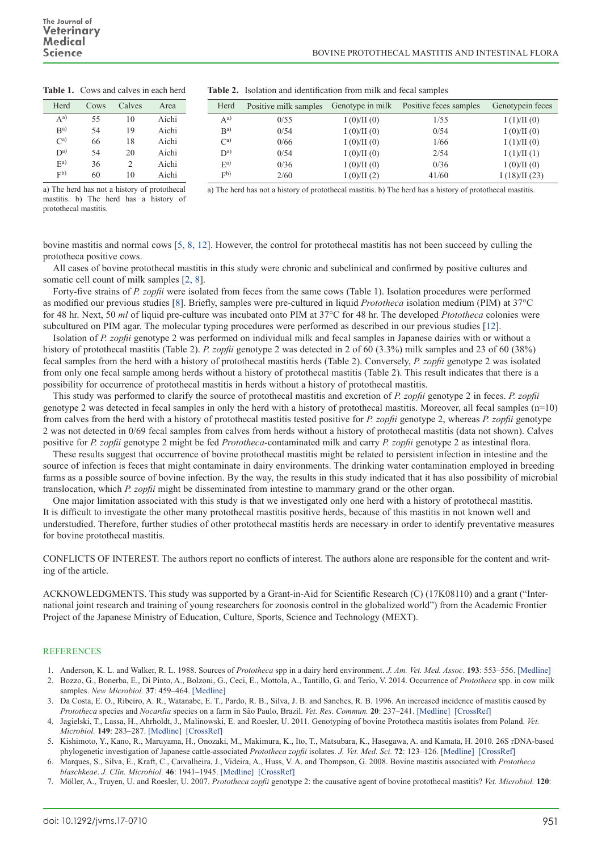| Herd                     | Cows | Calves | Area  | Herd              | Positive milk samples | Genotype in milk | Positive feces samples | Genotypein feces |
|--------------------------|------|--------|-------|-------------------|-----------------------|------------------|------------------------|------------------|
| $A^{a)}$                 | 55   | 10     | Aichi | $A^{a}$           | 0/55                  | I(0)/II(0)       | 1/55                   | I(1)/II(0)       |
| B <sup>a</sup>           | 54   | 19     | Aichi | B <sup>a</sup>    | 0/54                  | I(0)/II(0)       | 0/54                   | I(0)/II(0)       |
| $\mathrm{C}^\mathrm{a)}$ | 66   | 18     | Aichi | $\mathrm{C}^{a)}$ | 0/66                  | I(0)/II(0)       | 1/66                   | I(1)/II(0)       |
| $\mathbf{D}^{a)}$        | 54   | 20     | Aichi | $\mathbf{D}^{a}$  | 0/54                  | I(0)/II(0)       | 2/54                   | I(1)/II(1)       |
| $E^{a)}$                 | 36   | ∠      | Aichi | $E^{a}$           | 0/36                  | I(0)/II(0)       | 0/36                   | I(0)/II(0)       |
| F <sub>b</sub>           | 60   | 10     | Aichi | F <sub>b</sub>    | 2/60                  | I(0)/II(2)       | 41/60                  | I(18)/II(23)     |

**Table 2.** Isolation and identification from milk and fecal samples

## **Table 1.** Cows and calves in each herd

a) The herd has not a history of protothecal mastitis. b) The herd has a history of protothecal mastitis.

a) The herd has not a history of protothecal mastitis. b) The herd has a history of protothecal mastitis.

bovine mastitis and normal cows [[5, 8, 12\]](#page-1-2). However, the control for protothecal mastitis has not been succeed by culling the prototheca positive cows.

All cases of bovine protothecal mastitis in this study were chronic and subclinical and confirmed by positive cultures and somatic cell count of milk samples [\[2, 8\]](#page-1-1).

Forty-five strains of *P. zopfii* were isolated from feces from the same cows (Table 1). Isolation procedures were performed as modified our previous studies [[8](#page-2-1)]. Briefly, samples were pre-cultured in liquid *Prototheca* isolation medium (PIM) at 37°C for 48 hr. Next, 50 *ml* of liquid pre-culture was incubated onto PIM at 37°C for 48 hr. The developed *Ptototheca* colonies were subcultured on PIM agar. The molecular typing procedures were performed as described in our previous studies [[12](#page-2-2)].

Isolation of *P. zopfii* genotype 2 was performed on individual milk and fecal samples in Japanese dairies with or without a history of protothecal mastitis (Table 2). *P. zopfii* genotype 2 was detected in 2 of 60 (3.3%) milk samples and 23 of 60 (38%) fecal samples from the herd with a history of protothecal mastitis herds (Table 2). Conversely, *P. zopfii* genotype 2 was isolated from only one fecal sample among herds without a history of protothecal mastitis (Table 2). This result indicates that there is a possibility for occurrence of protothecal mastitis in herds without a history of protothecal mastitis.

This study was performed to clarify the source of protothecal mastitis and excretion of *P. zopfii* genotype 2 in feces. *P. zopfii* genotype 2 was detected in fecal samples in only the herd with a history of protothecal mastitis. Moreover, all fecal samples (n=10) from calves from the herd with a history of protothecal mastitis tested positive for *P. zopfii* genotype 2, whereas *P. zopfii* genotype 2 was not detected in 0/69 fecal samples from calves from herds without a history of protothecal mastitis (data not shown). Calves positive for *P. zopfii* genotype 2 might be fed *Prototheca-*contaminated milk and carry *P. zopfii* genotype 2 as intestinal flora.

These results suggest that occurrence of bovine protothecal mastitis might be related to persistent infection in intestine and the source of infection is feces that might contaminate in dairy environments. The drinking water contamination employed in breeding farms as a possible source of bovine infection. By the way, the results in this study indicated that it has also possibility of microbial translocation, which *P. zopfii* might be disseminated from intestine to mammary grand or the other organ.

One major limitation associated with this study is that we investigated only one herd with a history of protothecal mastitis. It is difficult to investigate the other many protothecal mastitis positive herds, because of this mastitis in not known well and understudied. Therefore, further studies of other protothecal mastitis herds are necessary in order to identify preventative measures for bovine protothecal mastitis.

CONFLICTS OF INTEREST. The authors report no conflicts of interest. The authors alone are responsible for the content and writing of the article.

ACKNOWLEDGMENTS. This study was supported by a Grant-in-Aid for Scientific Research (C) (17K08110) and a grant ("International joint research and training of young researchers for zoonosis control in the globalized world") from the Academic Frontier Project of the Japanese Ministry of Education, Culture, Sports, Science and Technology (MEXT).

## **REFERENCES**

- <span id="page-1-1"></span><span id="page-1-0"></span>1. Anderson, K. L. and Walker, R. L. 1988. Sources of *Prototheca* spp in a dairy herd environment. *J. Am. Vet. Med. Assoc.* **193**: 553–556. [\[Medline\]](http://www.ncbi.nlm.nih.gov/pubmed/3170330?dopt=Abstract) 2. Bozzo, G., Bonerba, E., Di Pinto, A., Bolzoni, G., Ceci, E., Mottola, A., Tantillo, G. and Terio, V. 2014. Occurrence of *Prototheca* spp. in cow milk samples. *New Microbiol.* **37**: 459–464. [\[Medline\]](http://www.ncbi.nlm.nih.gov/pubmed/25387284?dopt=Abstract)
- 3. Da Costa, E. O., Ribeiro, A. R., Watanabe, E. T., Pardo, R. B., Silva, J. B. and Sanches, R. B. 1996. An increased incidence of mastitis caused by *Prototheca* species and *Nocardia* species on a farm in São Paulo, Brazil. *Vet. Res. Commun.* **20**: 237–241. [\[Medline\]](http://www.ncbi.nlm.nih.gov/pubmed/8739522?dopt=Abstract) [\[CrossRef\]](http://dx.doi.org/10.1007/BF00366921)
- 4. Jagielski, T., Lassa, H., Ahrholdt, J., Malinowski, E. and Roesler, U. 2011. Genotyping of bovine Prototheca mastitis isolates from Poland. *Vet. Microbiol.* **149**: 283–287. [\[Medline\]](http://www.ncbi.nlm.nih.gov/pubmed/21055886?dopt=Abstract) [\[CrossRef\]](http://dx.doi.org/10.1016/j.vetmic.2010.09.034)
- <span id="page-1-2"></span>5. Kishimoto, Y., Kano, R., Maruyama, H., Onozaki, M., Makimura, K., Ito, T., Matsubara, K., Hasegawa, A. and Kamata, H. 2010. 26S rDNA-based phylogenetic investigation of Japanese cattle-associated *Prototheca zopfii* isolates. *J. Vet. Med. Sci.* **72**: 123–126. [\[Medline\]](http://www.ncbi.nlm.nih.gov/pubmed/19915324?dopt=Abstract) [\[CrossRef\]](http://dx.doi.org/10.1292/jvms.09-0115)
- 6. Marques, S., Silva, E., Kraft, C., Carvalheira, J., Videira, A., Huss, V. A. and Thompson, G. 2008. Bovine mastitis associated with *Prototheca blaschkeae*. *J. Clin. Microbiol.* **46**: 1941–1945. [\[Medline\]](http://www.ncbi.nlm.nih.gov/pubmed/18434557?dopt=Abstract) [\[CrossRef\]](http://dx.doi.org/10.1128/JCM.00323-08)
- 7. Möller, A., Truyen, U. and Roesler, U. 2007. *Prototheca zopfii* genotype 2: the causative agent of bovine protothecal mastitis? *Vet. Microbiol.* **120**: